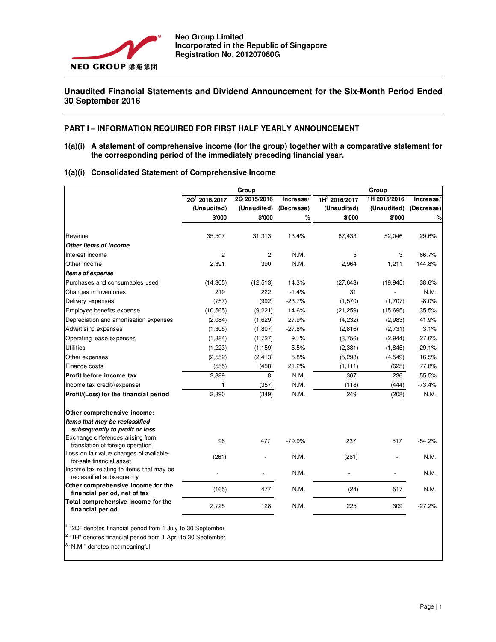

# **Unaudited Financial Statements and Dividend Announcement for the Six-Month Period Ended 30 September 2016**

## **PART I – INFORMATION REQUIRED FOR FIRST HALF YEARLY ANNOUNCEMENT**

**1(a)(i) A statement of comprehensive income (for the group) together with a comparative statement for the corresponding period of the immediately preceding financial year.** 

|  |  |  |  | 1(a)(i) Consolidated Statement of Comprehensive Income |
|--|--|--|--|--------------------------------------------------------|
|--|--|--|--|--------------------------------------------------------|

|                                                                       |                           | Group          |            |                           | Group        |            |  |  |  |
|-----------------------------------------------------------------------|---------------------------|----------------|------------|---------------------------|--------------|------------|--|--|--|
|                                                                       | 2Q <sup>1</sup> 2016/2017 | 2Q 2015/2016   | Increase/  | 1H <sup>2</sup> 2016/2017 | 1H 2015/2016 | Increase/  |  |  |  |
|                                                                       | (Unaudited)               | (Unaudited)    | (Decrease) | (Unaudited)               | (Unaudited)  | (Decrease) |  |  |  |
|                                                                       | \$'000                    | \$'000         | %          | \$'000                    | \$'000       | %          |  |  |  |
| Revenue                                                               | 35,507                    | 31,313         | 13.4%      | 67,433                    | 52,046       | 29.6%      |  |  |  |
| Other items of income                                                 |                           |                |            |                           |              |            |  |  |  |
| Interest income                                                       | $\overline{2}$            | $\overline{c}$ | N.M.       | 5                         | 3            | 66.7%      |  |  |  |
| Other income                                                          | 2,391                     | 390            | N.M.       | 2,964                     | 1,211        | 144.8%     |  |  |  |
| Items of expense                                                      |                           |                |            |                           |              |            |  |  |  |
| Purchases and consumables used                                        | (14, 305)                 | (12, 513)      | 14.3%      | (27, 643)                 | (19, 945)    | 38.6%      |  |  |  |
| Changes in inventories                                                | 219                       | 222            | $-1.4%$    | 31                        |              | N.M.       |  |  |  |
| Delivery expenses                                                     | (757)                     | (992)          | $-23.7%$   | (1,570)                   | (1,707)      | $-8.0%$    |  |  |  |
| Employee benefits expense                                             | (10, 565)                 | (9,221)        | 14.6%      | (21, 259)                 | (15, 695)    | 35.5%      |  |  |  |
| Depreciation and amortisation expenses                                | (2,084)                   | (1,629)        | 27.9%      | (4,232)                   | (2,983)      | 41.9%      |  |  |  |
| Advertising expenses                                                  | (1, 305)                  | (1,807)        | $-27.8%$   | (2,816)                   | (2,731)      | 3.1%       |  |  |  |
| Operating lease expenses                                              | (1,884)                   | (1,727)        | 9.1%       | (3,756)                   | (2,944)      | 27.6%      |  |  |  |
| <b>Utilities</b>                                                      | (1, 223)                  | (1, 159)       | 5.5%       | (2, 381)                  | (1, 845)     | 29.1%      |  |  |  |
| Other expenses                                                        | (2, 552)                  | (2, 413)       | 5.8%       | (5, 298)                  | (4, 549)     | 16.5%      |  |  |  |
| Finance costs                                                         | (555)                     | (458)          | 21.2%      | (1, 111)                  | (625)        | 77.8%      |  |  |  |
| Profit before income tax                                              | 2,889                     | 8              | N.M.       | 367                       | 236          | 55.5%      |  |  |  |
| Income tax credit/(expense)                                           | $\mathbf{1}$              | (357)          | N.M.       | (118)                     | (444)        | $-73.4%$   |  |  |  |
| Profit/(Loss) for the financial period                                | 2,890                     | (349)          | N.M.       | 249                       | (208)        | N.M.       |  |  |  |
| Other comprehensive income:                                           |                           |                |            |                           |              |            |  |  |  |
| Items that may be reclassified<br>subsequently to profit or loss      |                           |                |            |                           |              |            |  |  |  |
| Exchange differences arising from<br>translation of foreign operation | 96                        | 477            | $-79.9%$   | 237                       | 517          | $-54.2%$   |  |  |  |
| Loss on fair value changes of available-<br>for-sale financial asset  | (261)                     |                | N.M.       | (261)                     |              | N.M.       |  |  |  |
| Income tax relating to items that may be<br>reclassified subsequently |                           |                | N.M.       |                           |              | N.M.       |  |  |  |
| Other comprehensive income for the<br>financial period, net of tax    | (165)                     | 477            | N.M.       | (24)                      | 517          | N.M.       |  |  |  |
| Total comprehensive income for the<br>financial period                | 2,725                     | 128            | N.M.       | 225                       | 309          | $-27.2%$   |  |  |  |
|                                                                       |                           |                |            |                           |              |            |  |  |  |

<sup>1</sup> "2Q" denotes financial period from 1 July to 30 September

<sup>2</sup> "1H" denotes financial period from 1 April to 30 September

<sup>3</sup>"N.M." denotes not meaningful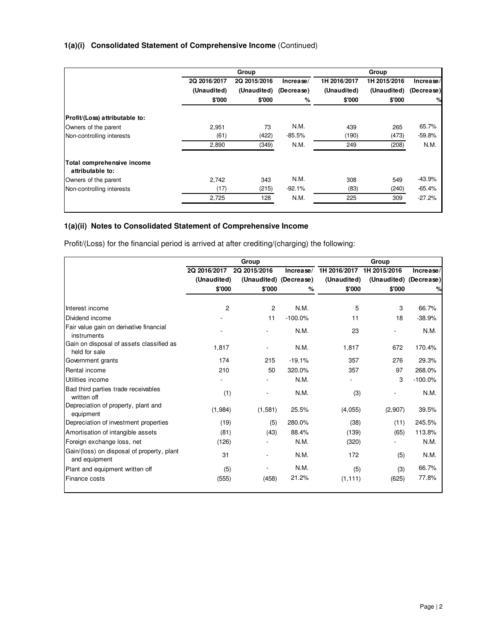|                                                |              | Group        |            |              | Group        |            |
|------------------------------------------------|--------------|--------------|------------|--------------|--------------|------------|
|                                                | 2Q 2016/2017 | 2Q 2015/2016 | Increase/  | 1H 2016/2017 | 1H 2015/2016 | Increase/  |
|                                                | (Unaudited)  | (Unaudited)  | (Decrease) | (Unaudited)  | (Unaudited)  | (Decrease) |
|                                                | \$'000       | \$'000       | %          | \$'000       | \$'000       | %          |
| Profit/(Loss) attributable to:                 |              |              |            |              |              |            |
| Owners of the parent                           | 2,951        | 73           | N.M.       | 439          | 265          | 65.7%      |
| Non-controlling interests                      | (61)         | (422)        | $-85.5%$   | (190)        | (473)        | $-59.8%$   |
|                                                | 2,890        | (349)        | N.M.       | 249          | (208)        | N.M.       |
| Total comprehensive income<br>attributable to: |              |              |            |              |              |            |
| Owners of the parent                           | 2,742        | 343          | N.M.       | 308          | 549          | $-43.9%$   |
| Non-controlling interests                      | (17)         | (215)        | $-92.1%$   | (83)         | (240)        | $-65.4%$   |
|                                                | 2,725        | 128          | N.M.       | 225          | 309          | $-27.2%$   |
|                                                |              |              |            |              |              |            |

# **1(a)(ii) Notes to Consolidated Statement of Comprehensive Income**

Profit/(Loss) for the financial period is arrived at after crediting/(charging) the following:

|                                                             |              | Group                  |           | Group        |                        |           |  |
|-------------------------------------------------------------|--------------|------------------------|-----------|--------------|------------------------|-----------|--|
|                                                             | 2Q 2016/2017 | 2Q 2015/2016           | Increase/ | 1H 2016/2017 | 1H 2015/2016           | Increase/ |  |
|                                                             | (Unaudited)  | (Unaudited) (Decrease) |           | (Unaudited)  | (Unaudited) (Decrease) |           |  |
|                                                             | \$'000       | \$'000                 | %         | \$'000       | \$'000                 | %         |  |
|                                                             |              |                        |           |              |                        |           |  |
| Interest income                                             | 2            | 2                      | N.M.      | 5            | 3                      | 66.7%     |  |
| Dividend income                                             |              | 11                     | $-100.0%$ | 11           | 18                     | $-38.9%$  |  |
| Fair value gain on derivative financial<br>instruments      |              |                        | N.M.      | 23           |                        | N.M.      |  |
| Gain on disposal of assets classified as<br>held for sale   | 1,817        |                        | N.M.      | 1,817        | 672                    | 170.4%    |  |
| Government grants                                           | 174          | 215                    | $-19.1%$  | 357          | 276                    | 29.3%     |  |
| Rental income                                               | 210          | 50                     | 320.0%    | 357          | 97                     | 268.0%    |  |
| Utilities income                                            |              |                        | N.M.      |              | 3                      | $-100.0%$ |  |
| Bad third parties trade receivables<br>written off          | (1)          |                        | N.M.      | (3)          |                        | N.M.      |  |
| Depreciation of property, plant and<br>equipment            | (1,984)      | (1,581)                | 25.5%     | (4,055)      | (2,907)                | 39.5%     |  |
| Depreciation of investment properties                       | (19)         | (5)                    | 280.0%    | (38)         | (11)                   | 245.5%    |  |
| Amortisation of intangible assets                           | (81)         | (43)                   | 88.4%     | (139)        | (65)                   | 113.8%    |  |
| Foreign exchange loss, net                                  | (126)        |                        | N.M.      | (320)        |                        | N.M.      |  |
| Gain/(loss) on disposal of property, plant<br>and equipment | 31           |                        | N.M.      | 172          | (5)                    | N.M.      |  |
| Plant and equipment written off                             | (5)          |                        | N.M.      | (5)          | (3)                    | 66.7%     |  |
| Finance costs                                               | (555)        | (458)                  | 21.2%     | (1, 111)     | (625)                  | 77.8%     |  |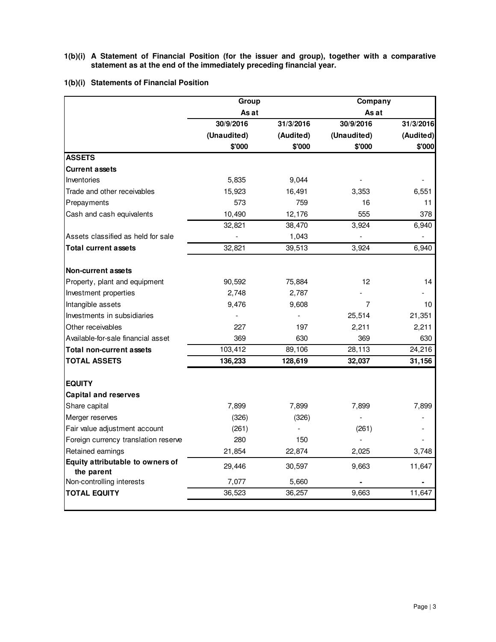**1(b)(i) A Statement of Financial Position (for the issuer and group), together with a comparative statement as at the end of the immediately preceding financial year.** 

# **1(b)(i) Statements of Financial Position**

|                                                | Group       |           | Company     |           |
|------------------------------------------------|-------------|-----------|-------------|-----------|
|                                                | As at       |           | As at       |           |
|                                                | 30/9/2016   | 31/3/2016 | 30/9/2016   | 31/3/2016 |
|                                                | (Unaudited) | (Audited) | (Unaudited) | (Audited) |
|                                                | \$'000      | \$'000    | \$'000      | \$'000    |
| <b>ASSETS</b>                                  |             |           |             |           |
| <b>Current assets</b>                          |             |           |             |           |
| Inventories                                    | 5,835       | 9,044     |             |           |
| Trade and other receivables                    | 15,923      | 16,491    | 3,353       | 6,551     |
| Prepayments                                    | 573         | 759       | 16          | 11        |
| Cash and cash equivalents                      | 10,490      | 12,176    | 555         | 378       |
|                                                | 32,821      | 38,470    | 3,924       | 6,940     |
| Assets classified as held for sale             |             | 1,043     |             |           |
| <b>Total current assets</b>                    | 32,821      | 39,513    | 3,924       | 6,940     |
|                                                |             |           |             |           |
| <b>Non-current assets</b>                      |             |           |             |           |
| Property, plant and equipment                  | 90,592      | 75,884    | 12          | 14        |
| Investment properties                          | 2,748       | 2,787     |             |           |
| Intangible assets                              | 9,476       | 9,608     | 7           | 10        |
| Investments in subsidiaries                    |             |           | 25,514      | 21,351    |
| Other receivables                              | 227         | 197       | 2,211       | 2,211     |
| Available-for-sale financial asset             | 369         | 630       | 369         | 630       |
| <b>Total non-current assets</b>                | 103,412     | 89,106    | 28,113      | 24,216    |
| <b>TOTAL ASSETS</b>                            | 136,233     | 128,619   | 32,037      | 31,156    |
|                                                |             |           |             |           |
| <b>EQUITY</b>                                  |             |           |             |           |
| <b>Capital and reserves</b>                    |             |           |             |           |
| Share capital                                  | 7,899       | 7,899     | 7,899       | 7,899     |
| Merger reserves                                | (326)       | (326)     |             |           |
| Fair value adjustment account                  | (261)       |           | (261)       |           |
| Foreign currency translation reserve           | 280         | 150       |             |           |
| Retained earnings                              | 21,854      | 22,874    | 2,025       | 3,748     |
| Equity attributable to owners of<br>the parent | 29,446      | 30,597    | 9,663       | 11,647    |
| Non-controlling interests                      | 7,077       | 5,660     |             |           |
| <b>TOTAL EQUITY</b>                            | 36,523      | 36,257    | 9,663       | 11,647    |
|                                                |             |           |             |           |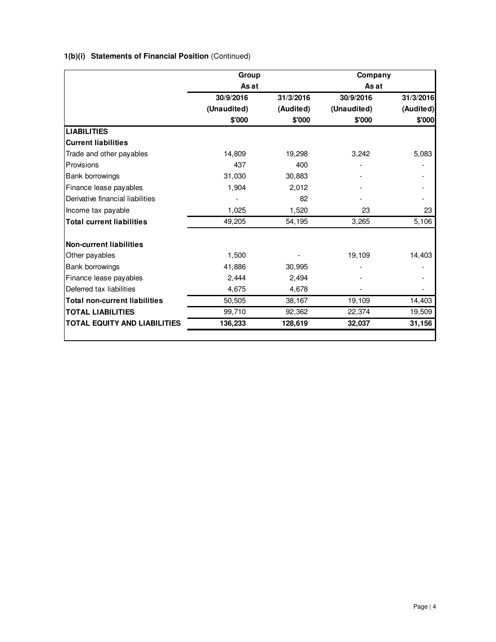# **1(b)(i) Statements of Financial Position** (Continued)

|                                      | Group       |           | Company     |           |  |
|--------------------------------------|-------------|-----------|-------------|-----------|--|
|                                      | As at       |           | As at       |           |  |
|                                      | 30/9/2016   | 31/3/2016 | 30/9/2016   | 31/3/2016 |  |
|                                      | (Unaudited) | (Audited) | (Unaudited) | (Audited) |  |
|                                      | \$'000      | \$'000    | \$'000      | \$'000    |  |
| <b>LIABILITIES</b>                   |             |           |             |           |  |
| <b>Current liabilities</b>           |             |           |             |           |  |
| Trade and other payables             | 14,809      | 19,298    | 3,242       | 5,083     |  |
| Provisions                           | 437         | 400       |             |           |  |
| Bank borrowings                      | 31,030      | 30,883    |             |           |  |
| Finance lease payables               | 1,904       | 2,012     |             |           |  |
| Derivative financial liabilities     |             | 82        |             |           |  |
| Income tax payable                   | 1,025       | 1,520     | 23          | 23        |  |
| <b>Total current liabilities</b>     | 49,205      | 54,195    | 3,265       | 5,106     |  |
| <b>Non-current liabilities</b>       |             |           |             |           |  |
| Other payables                       | 1,500       |           | 19,109      | 14,403    |  |
| Bank borrowings                      | 41,886      | 30,995    |             |           |  |
| Finance lease payables               | 2,444       | 2,494     |             |           |  |
| Deferred tax liabilities             | 4,675       | 4,678     |             |           |  |
| <b>Total non-current liabilities</b> | 50,505      | 38,167    | 19,109      | 14,403    |  |
| <b>TOTAL LIABILITIES</b>             | 99,710      | 92,362    | 22,374      | 19,509    |  |
| <b>TOTAL EQUITY AND LIABILITIES</b>  | 136,233     | 128,619   | 32,037      | 31,156    |  |
|                                      |             |           |             |           |  |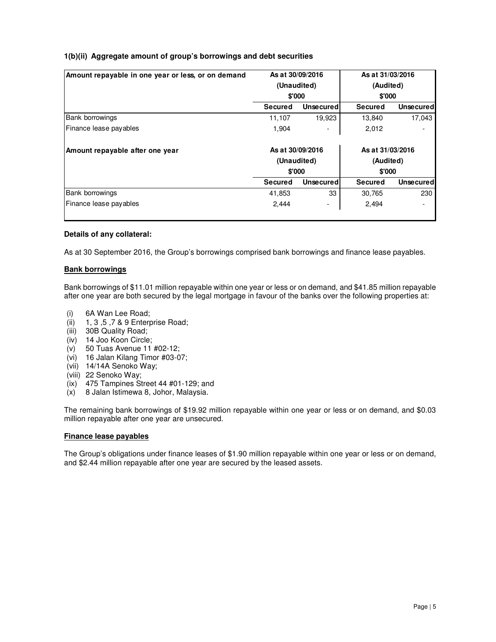# **1(b)(ii) Aggregate amount of group's borrowings and debt securities**

| Amount repayable in one year or less, or on demand | As at 30/09/2016 |                  | As at 31/03/2016 |                  |  |
|----------------------------------------------------|------------------|------------------|------------------|------------------|--|
|                                                    |                  | (Unaudited)      | (Audited)        |                  |  |
|                                                    | \$'000           |                  | \$'000           |                  |  |
|                                                    | Secured          | Unsecured        | Secured          | Unsecured        |  |
| <b>Bank borrowings</b>                             | 11.107           | 19,923           | 13,840           | 17,043           |  |
| Finance lease payables                             | 1,904            |                  | 2,012            |                  |  |
| Amount repayable after one year                    | As at 30/09/2016 |                  | As at 31/03/2016 |                  |  |
|                                                    | (Unaudited)      |                  | (Audited)        |                  |  |
|                                                    | \$'000           |                  | \$'000           |                  |  |
|                                                    | Secured          | <b>Unsecured</b> | <b>Secured</b>   | <b>Unsecured</b> |  |
| <b>Bank borrowings</b>                             | 41,853           | 33               | 30,765           | 230              |  |
| Finance lease payables                             | 2,444            | -                | 2,494            |                  |  |
|                                                    |                  |                  |                  |                  |  |

## **Details of any collateral:**

As at 30 September 2016, the Group's borrowings comprised bank borrowings and finance lease payables.

# **Bank borrowings**

Bank borrowings of \$11.01 million repayable within one year or less or on demand, and \$41.85 million repayable after one year are both secured by the legal mortgage in favour of the banks over the following properties at:

- (i) 6A Wan Lee Road;
- (ii) 1, 3 ,5 ,7 & 9 Enterprise Road;
- (iii) 30B Quality Road;
- (iv) 14 Joo Koon Circle;
- (v) 50 Tuas Avenue 11 #02-12;
- (vi) 16 Jalan Kilang Timor #03-07;
- (vii) 14/14A Senoko Way;
- (viii) 22 Senoko Way;
- (ix) 475 Tampines Street 44 #01-129; and
- (x) 8 Jalan Istimewa 8, Johor, Malaysia.

The remaining bank borrowings of \$19.92 million repayable within one year or less or on demand, and \$0.03 million repayable after one year are unsecured.

## **Finance lease payables**

The Group's obligations under finance leases of \$1.90 million repayable within one year or less or on demand, and \$2.44 million repayable after one year are secured by the leased assets.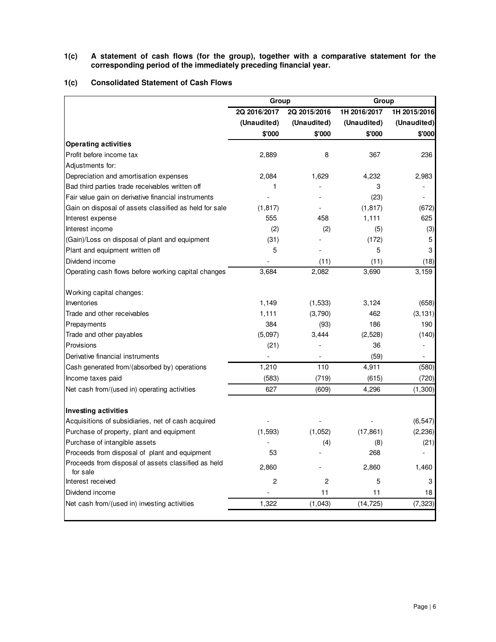## **1(c) A statement of cash flows (for the group), together with a comparative statement for the corresponding period of the immediately preceding financial year.**

## **1(c) Consolidated Statement of Cash Flows**

|                                                                 | Group            |              |              | Group        |  |  |  |
|-----------------------------------------------------------------|------------------|--------------|--------------|--------------|--|--|--|
|                                                                 | 2Q 2016/2017     | 2Q 2015/2016 | 1H 2016/2017 | 1H 2015/2016 |  |  |  |
|                                                                 | (Unaudited)      | (Unaudited)  | (Unaudited)  | (Unaudited)  |  |  |  |
|                                                                 | \$'000           | \$'000       | \$'000       | \$'000       |  |  |  |
| <b>Operating activities</b>                                     |                  |              |              |              |  |  |  |
| Profit before income tax                                        | 2,889            | 8            | 367          | 236          |  |  |  |
| Adjustments for:                                                |                  |              |              |              |  |  |  |
| Depreciation and amortisation expenses                          | 2,084            | 1,629        | 4,232        | 2,983        |  |  |  |
| Bad third parties trade receivables written off                 | 1                |              | 3            |              |  |  |  |
| Fair value gain on derivative financial instruments             |                  |              | (23)         |              |  |  |  |
| Gain on disposal of assets classified as held for sale          | (1, 817)         |              | (1, 817)     | (672)        |  |  |  |
| Interest expense                                                | 555              | 458          | 1,111        | 625          |  |  |  |
| Interest income                                                 | (2)              | (2)          | (5)          | (3)          |  |  |  |
| (Gain)/Loss on disposal of plant and equipment                  | (31)             |              | (172)        | 5            |  |  |  |
| Plant and equipment written off                                 | 5                |              | 5            | 3            |  |  |  |
| Dividend income                                                 |                  | (11)         | (11)         | (18)         |  |  |  |
| Operating cash flows before working capital changes             | 3,684            | 2,082        | 3,690        | 3,159        |  |  |  |
| Working capital changes:                                        |                  |              |              |              |  |  |  |
| Inventories                                                     | 1,149            | (1,533)      | 3,124        | (658)        |  |  |  |
| Trade and other receivables                                     | 1,111            | (3,790)      | 462          | (3, 131)     |  |  |  |
| Prepayments                                                     | 384              | (93)         | 186          | 190          |  |  |  |
| Trade and other payables                                        | (5,097)          | 3,444        | (2,528)      | (140)        |  |  |  |
| Provisions                                                      | (21)             |              | 36           |              |  |  |  |
| Derivative financial instruments                                |                  |              | (59)         |              |  |  |  |
| Cash generated from/(absorbed by) operations                    | 1,210            | 110          | 4,911        | (580)        |  |  |  |
| Income taxes paid                                               | (583)            | (719)        | (615)        | (720)        |  |  |  |
| Net cash from/(used in) operating activities                    | 627              | (609)        | 4,296        | (1, 300)     |  |  |  |
| Investing activities                                            |                  |              |              |              |  |  |  |
| Acquisitions of subsidiaries, net of cash acquired              |                  |              |              | (6, 547)     |  |  |  |
| Purchase of property, plant and equipment                       | (1, 593)         | (1,052)      | (17, 861)    | (2, 236)     |  |  |  |
| Purchase of intangible assets                                   |                  | (4)          | (8)          | (21)         |  |  |  |
| Proceeds from disposal of plant and equipment                   | 53               |              | 268          |              |  |  |  |
| Proceeds from disposal of assets classified as held<br>for sale | 2,860            |              | 2,860        | 1,460        |  |  |  |
| Interest received                                               | $\boldsymbol{2}$ | 2            | 5            | 3            |  |  |  |
| Dividend income                                                 |                  | 11           | 11           | 18           |  |  |  |
| Net cash from/(used in) investing activities                    | 1,322            | (1,043)      | (14, 725)    | (7, 323)     |  |  |  |
|                                                                 |                  |              |              |              |  |  |  |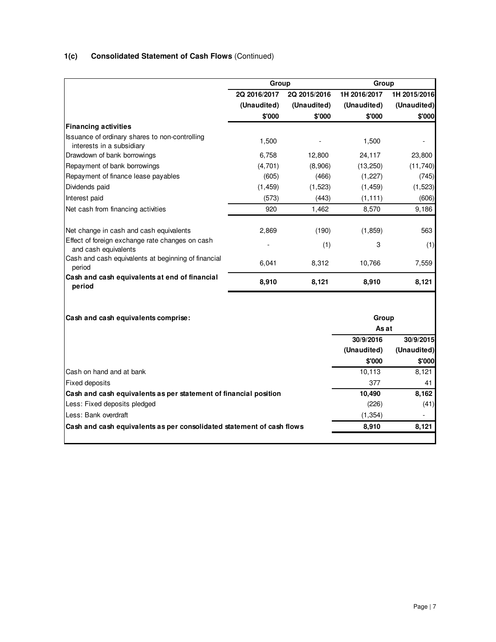# **1(c) Consolidated Statement of Cash Flows** (Continued)

|                                                                             | Group        |              | Group        |              |
|-----------------------------------------------------------------------------|--------------|--------------|--------------|--------------|
|                                                                             | 2Q 2016/2017 | 2Q 2015/2016 | 1H 2016/2017 | 1H 2015/2016 |
|                                                                             | (Unaudited)  | (Unaudited)  | (Unaudited)  | (Unaudited)  |
|                                                                             | \$'000       | \$'000       | \$'000       | \$'000       |
| <b>Financing activities</b>                                                 |              |              |              |              |
| Issuance of ordinary shares to non-controlling<br>interests in a subsidiary | 1,500        |              | 1,500        |              |
| Drawdown of bank borrowings                                                 | 6,758        | 12,800       | 24,117       | 23,800       |
| Repayment of bank borrowings                                                | (4,701)      | (8,906)      | (13, 250)    | (11, 740)    |
| Repayment of finance lease payables                                         | (605)        | (466)        | (1, 227)     | (745)        |
| Dividends paid                                                              | (1, 459)     | (1, 523)     | (1, 459)     | (1,523)      |
| Interest paid                                                               | (573)        | (443)        | (1, 111)     | (606)        |
| Net cash from financing activities                                          | 920          | 1,462        | 8,570        | 9,186        |
|                                                                             |              |              |              |              |
| Net change in cash and cash equivalents                                     | 2,869        | (190)        | (1, 859)     | 563          |
| Effect of foreign exchange rate changes on cash<br>and cash equivalents     |              | (1)          | 3            | (1)          |
| Cash and cash equivalents at beginning of financial<br>period               | 6,041        | 8,312        | 10,766       | 7,559        |
| Cash and cash equivalents at end of financial<br>period                     | 8,910        | 8,121        | 8,910        | 8,121        |
|                                                                             |              |              |              |              |
| Cash and cash equivalents comprise:                                         |              |              | Group        |              |
|                                                                             |              |              | As at        |              |
|                                                                             |              |              | 30/9/2016    | 30/9/2015    |
|                                                                             |              |              | (Unaudited)  | (Unaudited)  |
|                                                                             |              |              | \$'000       | \$'000       |
| Cash on hand and at bank                                                    |              |              | 10,113       | 8,121        |
| <b>Fixed deposits</b>                                                       |              |              | 377          | 41           |
| Cash and cash equivalents as per statement of financial position            |              |              | 10,490       | 8,162        |
| Less: Fixed deposits pledged                                                |              |              | (226)        | (41)         |
| Less: Bank overdraft                                                        |              |              | (1, 354)     |              |
| Cash and cash equivalents as per consolidated statement of cash flows       |              |              | 8,910        | 8,121        |
|                                                                             |              |              |              |              |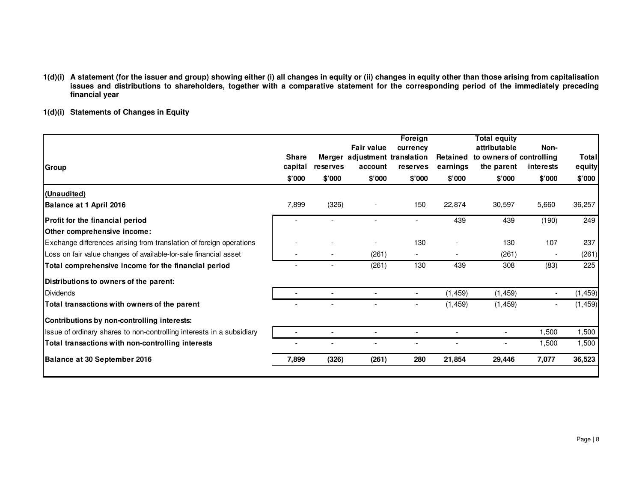1(d)(i) A statement (for the issuer and group) showing either (i) all changes in equity or (ii) changes in equity other than those arising from capitalisation<br>issues and distributions to shareholders, together with a compa **financial year** 

# **1(d)(i) Statements of Changes in Equity**

| Group                                                                 | <b>Share</b><br>capital | reserves | <b>Fair value</b><br>Merger adjustment translation<br>account | Foreign<br>currency<br>reserves | Retained<br>earnings | <b>Total equity</b><br>attributable<br>to owners of controlling<br>the parent | Non-<br>interests | <b>Total</b><br>equity |
|-----------------------------------------------------------------------|-------------------------|----------|---------------------------------------------------------------|---------------------------------|----------------------|-------------------------------------------------------------------------------|-------------------|------------------------|
|                                                                       | \$'000                  | \$'000   | \$'000                                                        | \$'000                          | \$'000               | \$'000                                                                        | \$'000            | \$'000                 |
| (Unaudited)                                                           |                         |          |                                                               |                                 |                      |                                                                               |                   |                        |
| Balance at 1 April 2016                                               | 7,899                   | (326)    |                                                               | 150                             | 22,874               | 30,597                                                                        | 5,660             | 36,257                 |
| Profit for the financial period                                       |                         |          |                                                               |                                 | 439                  | 439                                                                           | (190)             | 249                    |
| Other comprehensive income:                                           |                         |          |                                                               |                                 |                      |                                                                               |                   |                        |
| Exchange differences arising from translation of foreign operations   |                         |          |                                                               | 130                             |                      | 130                                                                           | 107               | 237                    |
| Loss on fair value changes of available-for-sale financial asset      |                         |          | (261)                                                         | $\overline{\phantom{a}}$        |                      | (261)                                                                         |                   | (261)                  |
| Total comprehensive income for the financial period                   |                         |          | (261)                                                         | 130                             | 439                  | 308                                                                           | (83)              | 225                    |
| Distributions to owners of the parent:                                |                         |          |                                                               |                                 |                      |                                                                               |                   |                        |
| <b>IDividends</b>                                                     |                         |          |                                                               | $\overline{\phantom{a}}$        | (1, 459)             | (1, 459)                                                                      |                   | (1, 459)               |
| Total transactions with owners of the parent                          |                         |          |                                                               |                                 | (1, 459)             | (1, 459)                                                                      |                   | (1, 459)               |
| Contributions by non-controlling interests:                           |                         |          |                                                               |                                 |                      |                                                                               |                   |                        |
| Issue of ordinary shares to non-controlling interests in a subsidiary |                         |          |                                                               |                                 |                      | $\overline{\phantom{a}}$                                                      | 1,500             | 1,500                  |
| Total transactions with non-controlling interests                     |                         |          |                                                               |                                 |                      |                                                                               | 1,500             | 1,500                  |
| Balance at 30 September 2016                                          | 7,899                   | (326)    | (261)                                                         | 280                             | 21,854               | 29,446                                                                        | 7,077             | 36,523                 |
|                                                                       |                         |          |                                                               |                                 |                      |                                                                               |                   |                        |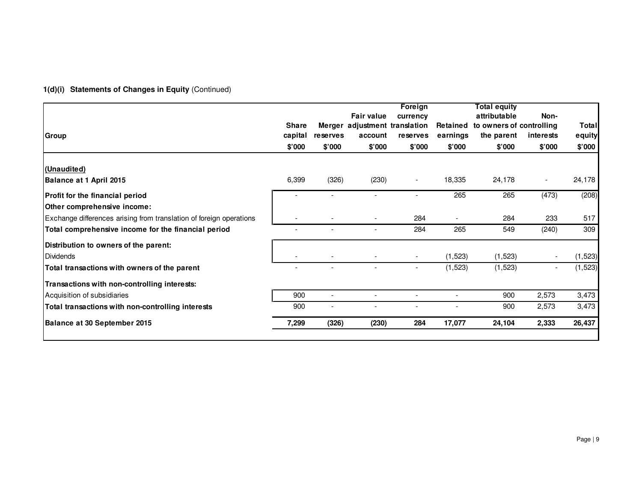# **1(d)(i) Statements of Changes in Equity** (Continued)

| Group                                                               | <b>Share</b><br>capital<br>\$'000 | reserves<br>\$'000       | <b>Fair value</b><br>Merger adjustment translation<br>account<br>\$'000 | Foreign<br>currency<br>reserves<br>\$'000 | Retained<br>earnings<br>\$'000 | <b>Total equity</b><br>attributable<br>to owners of controlling<br>the parent<br>\$'000 | Non-<br>interests<br>\$'000 | Total<br>equity<br>\$'000 |
|---------------------------------------------------------------------|-----------------------------------|--------------------------|-------------------------------------------------------------------------|-------------------------------------------|--------------------------------|-----------------------------------------------------------------------------------------|-----------------------------|---------------------------|
| (Unaudited)<br>Balance at 1 April 2015                              | 6,399                             | (326)                    | (230)                                                                   |                                           | 18,335                         | 24,178                                                                                  | $\overline{\phantom{a}}$    | 24,178                    |
| Profit for the financial period<br>Other comprehensive income:      |                                   |                          |                                                                         |                                           | 265                            | 265                                                                                     | (473)                       | (208)                     |
| Exchange differences arising from translation of foreign operations |                                   |                          |                                                                         | 284                                       |                                | 284                                                                                     | 233                         | 517                       |
| Total comprehensive income for the financial period                 |                                   | $\overline{\phantom{a}}$ | $\overline{\phantom{a}}$                                                | 284                                       | 265                            | 549                                                                                     | (240)                       | 309                       |
| Distribution to owners of the parent:<br><b>Dividends</b>           |                                   |                          |                                                                         | $\overline{\phantom{a}}$                  | (1, 523)                       | (1, 523)                                                                                |                             | (1, 523)                  |
| Total transactions with owners of the parent                        |                                   |                          |                                                                         | $\overline{\phantom{a}}$                  | (1,523)                        | (1, 523)                                                                                |                             | (1, 523)                  |
| Transactions with non-controlling interests:                        |                                   |                          |                                                                         |                                           |                                |                                                                                         |                             |                           |
| Acquisition of subsidiaries                                         | 900                               | $\overline{\phantom{a}}$ |                                                                         | $\overline{\phantom{a}}$                  | $\overline{\phantom{a}}$       | 900                                                                                     | 2,573                       | 3,473                     |
| Total transactions with non-controlling interests                   | 900                               | $\overline{\phantom{0}}$ |                                                                         |                                           |                                | 900                                                                                     | 2,573                       | 3,473                     |
| Balance at 30 September 2015                                        | 7,299                             | (326)                    | (230)                                                                   | 284                                       | 17,077                         | 24,104                                                                                  | 2,333                       | 26,437                    |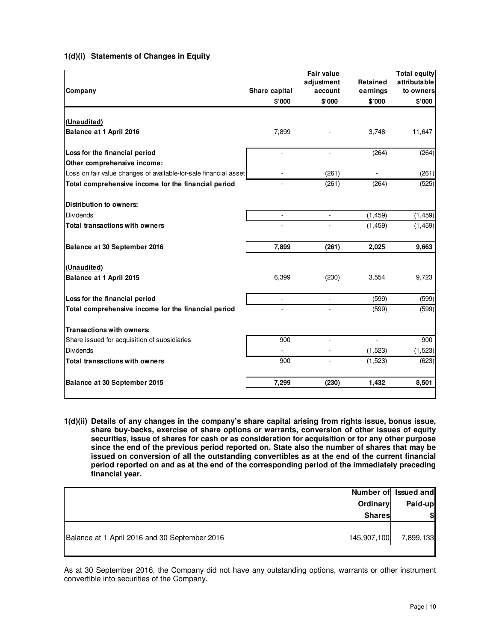| Company                                                          | Share capital | <b>Fair value</b><br>adjustment<br>account | Retained<br>earnings | <b>Total equity</b><br>attributable<br>to owners |
|------------------------------------------------------------------|---------------|--------------------------------------------|----------------------|--------------------------------------------------|
|                                                                  | \$'000        | \$'000                                     | \$'000               | \$'000                                           |
| (Unaudited)                                                      |               |                                            |                      |                                                  |
| Balance at 1 April 2016                                          | 7,899         |                                            | 3,748                | 11,647                                           |
|                                                                  |               |                                            |                      |                                                  |
| Loss for the financial period                                    |               | $\sim$                                     | (264)                | (264)                                            |
| Other comprehensive income:                                      |               |                                            |                      |                                                  |
| Loss on fair value changes of available-for-sale financial asset |               | (261)                                      |                      | (261)                                            |
| Total comprehensive income for the financial period              | ä,            | (261)                                      | (264)                | (525)                                            |
| <b>Distribution to owners:</b>                                   |               |                                            |                      |                                                  |
| <b>Dividends</b>                                                 |               | $\overline{a}$                             | (1, 459)             | (1, 459)                                         |
| Total transactions with owners                                   |               |                                            | (1, 459)             | (1, 459)                                         |
| Balance at 30 September 2016                                     | 7,899         | (261)                                      | 2,025                | 9,663                                            |
| (Unaudited)                                                      |               |                                            |                      |                                                  |
| Balance at 1 April 2015                                          | 6,399         | (230)                                      | 3,554                | 9,723                                            |
| Loss for the financial period                                    | L.            | $\sim$                                     | (599)                | (599)                                            |
| Total comprehensive income for the financial period              |               |                                            | (599)                | (599)                                            |
| <b>Transactions with owners:</b>                                 |               |                                            |                      |                                                  |
| Share issued for acquisition of subsidiaries                     | 900           | L.                                         | L.                   | 900                                              |
| <b>Dividends</b>                                                 |               |                                            | (1,523)              | (1, 523)                                         |
| Total transactions with owners                                   | 900           |                                            | (1, 523)             | (623)                                            |
| Balance at 30 September 2015                                     | 7,299         | (230)                                      | 1,432                | 8,501                                            |

# **1(d)(i) Statements of Changes in Equity**

**1(d)(ii) Details of any changes in the company's share capital arising from rights issue, bonus issue, share buy-backs, exercise of share options or warrants, conversion of other issues of equity securities, issue of shares for cash or as consideration for acquisition or for any other purpose since the end of the previous period reported on. State also the number of shares that may be issued on conversion of all the outstanding convertibles as at the end of the current financial period reported on and as at the end of the corresponding period of the immediately preceding financial year.** 

|                                               | Number of Issued and  |
|-----------------------------------------------|-----------------------|
| Ordinary                                      | Paid-up               |
| <b>Shares</b>                                 | \$                    |
| Balance at 1 April 2016 and 30 September 2016 | 145,907,100 7,899,133 |

As at 30 September 2016, the Company did not have any outstanding options, warrants or other instrument convertible into securities of the Company.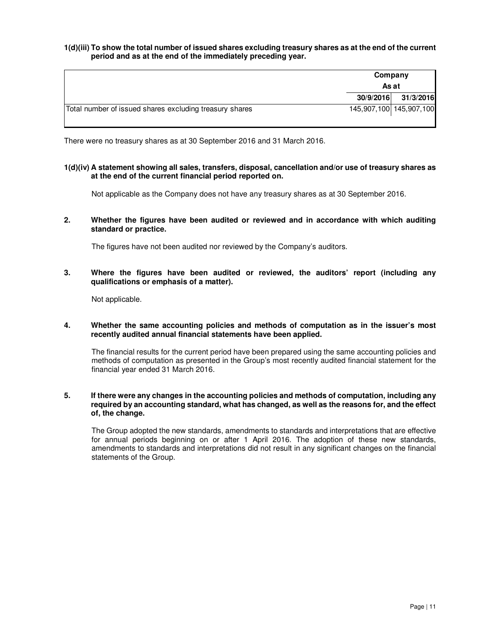## **1(d)(iii) To show the total number of issued shares excluding treasury shares as at the end of the current period and as at the end of the immediately preceding year.**

|                                                         | Company<br>As at |                         |
|---------------------------------------------------------|------------------|-------------------------|
|                                                         | 30/9/2016        | 31/3/2016               |
| Total number of issued shares excluding treasury shares |                  | 145,907,100 145,907,100 |

There were no treasury shares as at 30 September 2016 and 31 March 2016.

## **1(d)(iv) A statement showing all sales, transfers, disposal, cancellation and/or use of treasury shares as at the end of the current financial period reported on.**

Not applicable as the Company does not have any treasury shares as at 30 September 2016.

## **2. Whether the figures have been audited or reviewed and in accordance with which auditing standard or practice.**

The figures have not been audited nor reviewed by the Company's auditors.

## **3. Where the figures have been audited or reviewed, the auditors' report (including any qualifications or emphasis of a matter).**

Not applicable.

## **4. Whether the same accounting policies and methods of computation as in the issuer's most recently audited annual financial statements have been applied.**

The financial results for the current period have been prepared using the same accounting policies and methods of computation as presented in the Group's most recently audited financial statement for the financial year ended 31 March 2016.

## **5. If there were any changes in the accounting policies and methods of computation, including any required by an accounting standard, what has changed, as well as the reasons for, and the effect of, the change.**

The Group adopted the new standards, amendments to standards and interpretations that are effective for annual periods beginning on or after 1 April 2016. The adoption of these new standards, amendments to standards and interpretations did not result in any significant changes on the financial statements of the Group.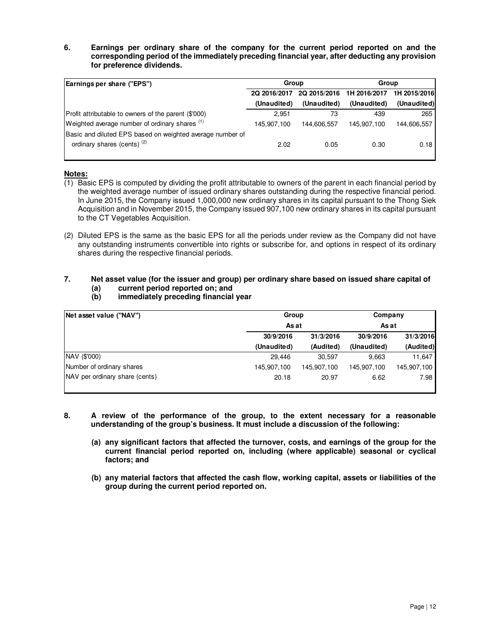**6. Earnings per ordinary share of the company for the current period reported on and the corresponding period of the immediately preceding financial year, after deducting any provision for preference dividends.** 

| Earnings per share ("EPS")                                | Group        |              | Group        |              |
|-----------------------------------------------------------|--------------|--------------|--------------|--------------|
|                                                           | 2Q 2016/2017 | 2Q 2015/2016 | 1H 2016/2017 | 1H 2015/2016 |
|                                                           | (Unaudited)  | (Unaudited)  | (Unaudited)  | (Unaudited)  |
| Profit attributable to owners of the parent (\$'000)      | 2.951        | 73           | 439          | 265          |
| Weighted average number of ordinary shares (1)            | 145.907.100  | 144.606.557  | 145.907.100  | 144,606,557  |
| Basic and diluted EPS based on weighted average number of |              |              |              |              |
| ordinary shares (cents) <sup>(2)</sup>                    | 2.02         | 0.05         | 0.30         | 0.18         |

## **Notes:**

- (1) Basic EPS is computed by dividing the profit attributable to owners of the parent in each financial period by the weighted average number of issued ordinary shares outstanding during the respective financial period. In June 2015, the Company issued 1,000,000 new ordinary shares in its capital pursuant to the Thong Siek Acquisition and in November 2015, the Company issued 907,100 new ordinary shares in its capital pursuant to the CT Vegetables Acquisition.
- (2) Diluted EPS is the same as the basic EPS for all the periods under review as the Company did not have any outstanding instruments convertible into rights or subscribe for, and options in respect of its ordinary shares during the respective financial periods.

## **7. Net asset value (for the issuer and group) per ordinary share based on issued share capital of (a) current period reported on; and**

- **Net asset value ("NAV") 30/9/2016 31/3/2016 30/9/2016 31/3/2016 (Unaudited) (Audited) (Unaudited) (Audited)** NAV (\$'000) 30,597 29,446 9,663 11,647 Number of ordinary shares 145,907,100 145,907,100 145,907,100 145,907,100 NAV per ordinary share (cents) 20.18 20.97 6.62 7.98 **As at** As at **Group Company**
- **(b) immediately preceding financial year**

- **8. A review of the performance of the group, to the extent necessary for a reasonable understanding of the group's business. It must include a discussion of the following:** 
	- **(a) any significant factors that affected the turnover, costs, and earnings of the group for the current financial period reported on, including (where applicable) seasonal or cyclical factors; and**
	- **(b) any material factors that affected the cash flow, working capital, assets or liabilities of the group during the current period reported on.**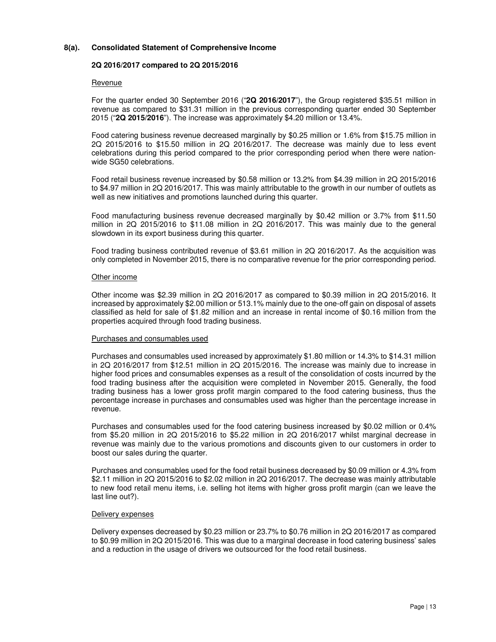## **8(a). Consolidated Statement of Comprehensive Income**

## **2Q 2016/2017 compared to 2Q 2015/2016**

## Revenue

For the quarter ended 30 September 2016 ("**2Q 2016/2017**"), the Group registered \$35.51 million in revenue as compared to \$31.31 million in the previous corresponding quarter ended 30 September 2015 ("**2Q 2015/2016**"). The increase was approximately \$4.20 million or 13.4%.

Food catering business revenue decreased marginally by \$0.25 million or 1.6% from \$15.75 million in 2Q 2015/2016 to \$15.50 million in 2Q 2016/2017. The decrease was mainly due to less event celebrations during this period compared to the prior corresponding period when there were nationwide SG50 celebrations.

Food retail business revenue increased by \$0.58 million or 13.2% from \$4.39 million in 2Q 2015/2016 to \$4.97 million in 2Q 2016/2017. This was mainly attributable to the growth in our number of outlets as well as new initiatives and promotions launched during this quarter.

Food manufacturing business revenue decreased marginally by \$0.42 million or 3.7% from \$11.50 million in 2Q 2015/2016 to \$11.08 million in 2Q 2016/2017. This was mainly due to the general slowdown in its export business during this quarter.

Food trading business contributed revenue of \$3.61 million in 2Q 2016/2017. As the acquisition was only completed in November 2015, there is no comparative revenue for the prior corresponding period.

## Other income

Other income was \$2.39 million in 2Q 2016/2017 as compared to \$0.39 million in 2Q 2015/2016. It increased by approximately \$2.00 million or 513.1% mainly due to the one-off gain on disposal of assets classified as held for sale of \$1.82 million and an increase in rental income of \$0.16 million from the properties acquired through food trading business.

## Purchases and consumables used

Purchases and consumables used increased by approximately \$1.80 million or 14.3% to \$14.31 million in 2Q 2016/2017 from \$12.51 million in 2Q 2015/2016. The increase was mainly due to increase in higher food prices and consumables expenses as a result of the consolidation of costs incurred by the food trading business after the acquisition were completed in November 2015. Generally, the food trading business has a lower gross profit margin compared to the food catering business, thus the percentage increase in purchases and consumables used was higher than the percentage increase in revenue.

Purchases and consumables used for the food catering business increased by \$0.02 million or 0.4% from \$5.20 million in 2Q 2015/2016 to \$5.22 million in 2Q 2016/2017 whilst marginal decrease in revenue was mainly due to the various promotions and discounts given to our customers in order to boost our sales during the quarter.

Purchases and consumables used for the food retail business decreased by \$0.09 million or 4.3% from \$2.11 million in 2Q 2015/2016 to \$2.02 million in 2Q 2016/2017. The decrease was mainly attributable to new food retail menu items, i.e. selling hot items with higher gross profit margin (can we leave the last line out?).

## Delivery expenses

Delivery expenses decreased by \$0.23 million or 23.7% to \$0.76 million in 2Q 2016/2017 as compared to \$0.99 million in 2Q 2015/2016. This was due to a marginal decrease in food catering business' sales and a reduction in the usage of drivers we outsourced for the food retail business.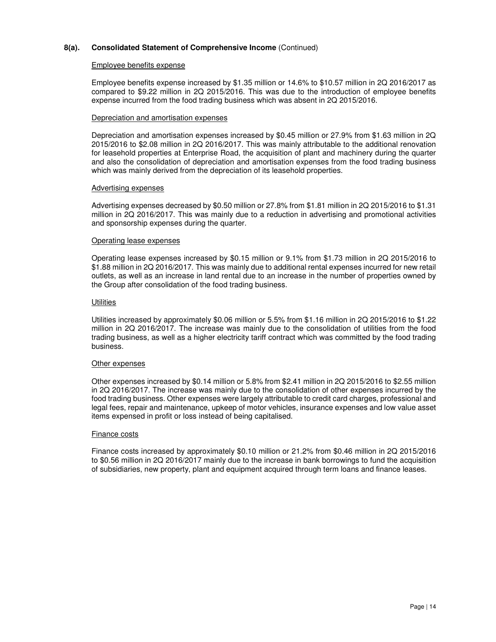#### Employee benefits expense

Employee benefits expense increased by \$1.35 million or 14.6% to \$10.57 million in 2Q 2016/2017 as compared to \$9.22 million in 2Q 2015/2016. This was due to the introduction of employee benefits expense incurred from the food trading business which was absent in 2Q 2015/2016.

#### Depreciation and amortisation expenses

Depreciation and amortisation expenses increased by \$0.45 million or 27.9% from \$1.63 million in 2Q 2015/2016 to \$2.08 million in 2Q 2016/2017. This was mainly attributable to the additional renovation for leasehold properties at Enterprise Road, the acquisition of plant and machinery during the quarter and also the consolidation of depreciation and amortisation expenses from the food trading business which was mainly derived from the depreciation of its leasehold properties.

#### Advertising expenses

Advertising expenses decreased by \$0.50 million or 27.8% from \$1.81 million in 2Q 2015/2016 to \$1.31 million in 2Q 2016/2017. This was mainly due to a reduction in advertising and promotional activities and sponsorship expenses during the quarter.

#### Operating lease expenses

Operating lease expenses increased by \$0.15 million or 9.1% from \$1.73 million in 2Q 2015/2016 to \$1.88 million in 2Q 2016/2017. This was mainly due to additional rental expenses incurred for new retail outlets, as well as an increase in land rental due to an increase in the number of properties owned by the Group after consolidation of the food trading business.

## **Utilities**

Utilities increased by approximately \$0.06 million or 5.5% from \$1.16 million in 2Q 2015/2016 to \$1.22 million in 2Q 2016/2017. The increase was mainly due to the consolidation of utilities from the food trading business, as well as a higher electricity tariff contract which was committed by the food trading business.

## Other expenses

Other expenses increased by \$0.14 million or 5.8% from \$2.41 million in 2Q 2015/2016 to \$2.55 million in 2Q 2016/2017. The increase was mainly due to the consolidation of other expenses incurred by the food trading business. Other expenses were largely attributable to credit card charges, professional and legal fees, repair and maintenance, upkeep of motor vehicles, insurance expenses and low value asset items expensed in profit or loss instead of being capitalised.

## Finance costs

Finance costs increased by approximately \$0.10 million or 21.2% from \$0.46 million in 2Q 2015/2016 to \$0.56 million in 2Q 2016/2017 mainly due to the increase in bank borrowings to fund the acquisition of subsidiaries, new property, plant and equipment acquired through term loans and finance leases.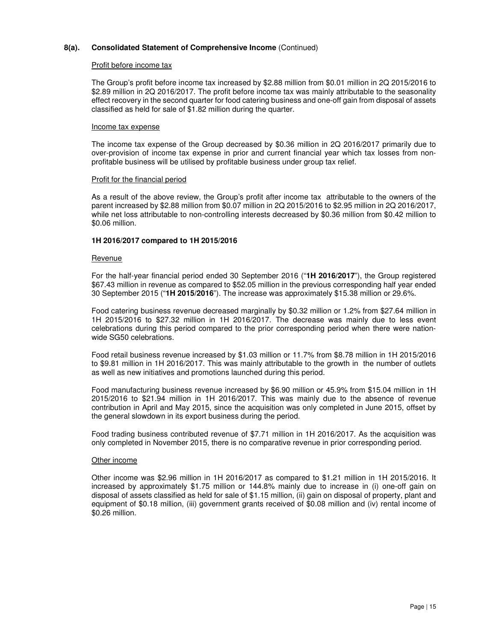#### Profit before income tax

The Group's profit before income tax increased by \$2.88 million from \$0.01 million in 2Q 2015/2016 to \$2.89 million in 2Q 2016/2017. The profit before income tax was mainly attributable to the seasonality effect recovery in the second quarter for food catering business and one-off gain from disposal of assets classified as held for sale of \$1.82 million during the quarter.

#### Income tax expense

The income tax expense of the Group decreased by \$0.36 million in 2Q 2016/2017 primarily due to over-provision of income tax expense in prior and current financial year which tax losses from nonprofitable business will be utilised by profitable business under group tax relief.

#### Profit for the financial period

As a result of the above review, the Group's profit after income tax attributable to the owners of the parent increased by \$2.88 million from \$0.07 million in 2Q 2015/2016 to \$2.95 million in 2Q 2016/2017, while net loss attributable to non-controlling interests decreased by \$0.36 million from \$0.42 million to \$0.06 million.

## **1H 2016/2017 compared to 1H 2015/2016**

#### Revenue

For the half-year financial period ended 30 September 2016 ("**1H 2016/2017**"), the Group registered \$67.43 million in revenue as compared to \$52.05 million in the previous corresponding half year ended 30 September 2015 ("**1H 2015/2016**"). The increase was approximately \$15.38 million or 29.6%.

Food catering business revenue decreased marginally by \$0.32 million or 1.2% from \$27.64 million in 1H 2015/2016 to \$27.32 million in 1H 2016/2017. The decrease was mainly due to less event celebrations during this period compared to the prior corresponding period when there were nationwide SG50 celebrations.

Food retail business revenue increased by \$1.03 million or 11.7% from \$8.78 million in 1H 2015/2016 to \$9.81 million in 1H 2016/2017. This was mainly attributable to the growth in the number of outlets as well as new initiatives and promotions launched during this period.

Food manufacturing business revenue increased by \$6.90 million or 45.9% from \$15.04 million in 1H 2015/2016 to \$21.94 million in 1H 2016/2017. This was mainly due to the absence of revenue contribution in April and May 2015, since the acquisition was only completed in June 2015, offset by the general slowdown in its export business during the period.

Food trading business contributed revenue of \$7.71 million in 1H 2016/2017. As the acquisition was only completed in November 2015, there is no comparative revenue in prior corresponding period.

## Other income

Other income was \$2.96 million in 1H 2016/2017 as compared to \$1.21 million in 1H 2015/2016. It increased by approximately \$1.75 million or 144.8% mainly due to increase in (i) one-off gain on disposal of assets classified as held for sale of \$1.15 million, (ii) gain on disposal of property, plant and equipment of \$0.18 million, (iii) government grants received of \$0.08 million and (iv) rental income of \$0.26 million.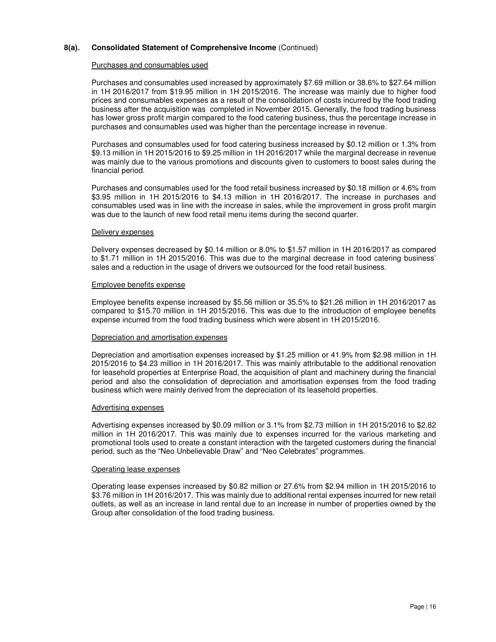#### Purchases and consumables used

Purchases and consumables used increased by approximately \$7.69 million or 38.6% to \$27.64 million in 1H 2016/2017 from \$19.95 million in 1H 2015/2016. The increase was mainly due to higher food prices and consumables expenses as a result of the consolidation of costs incurred by the food trading business after the acquisition was completed in November 2015. Generally, the food trading business has lower gross profit margin compared to the food catering business, thus the percentage increase in purchases and consumables used was higher than the percentage increase in revenue.

Purchases and consumables used for food catering business increased by \$0.12 million or 1.3% from \$9.13 million in 1H 2015/2016 to \$9.25 million in 1H 2016/2017 while the marginal decrease in revenue was mainly due to the various promotions and discounts given to customers to boost sales during the financial period.

Purchases and consumables used for the food retail business increased by \$0.18 million or 4.6% from \$3.95 million in 1H 2015/2016 to \$4.13 million in 1H 2016/2017. The increase in purchases and consumables used was in line with the increase in sales, while the improvement in gross profit margin was due to the launch of new food retail menu items during the second quarter.

## Delivery expenses

Delivery expenses decreased by \$0.14 million or 8.0% to \$1.57 million in 1H 2016/2017 as compared to \$1.71 million in 1H 2015/2016. This was due to the marginal decrease in food catering business' sales and a reduction in the usage of drivers we outsourced for the food retail business.

#### Employee benefits expense

Employee benefits expense increased by \$5.56 million or 35.5% to \$21.26 million in 1H 2016/2017 as compared to \$15.70 million in 1H 2015/2016. This was due to the introduction of employee benefits expense incurred from the food trading business which were absent in 1H 2015/2016.

## Depreciation and amortisation expenses

Depreciation and amortisation expenses increased by \$1.25 million or 41.9% from \$2.98 million in 1H 2015/2016 to \$4.23 million in 1H 2016/2017. This was mainly attributable to the additional renovation for leasehold properties at Enterprise Road, the acquisition of plant and machinery during the financial period and also the consolidation of depreciation and amortisation expenses from the food trading business which were mainly derived from the depreciation of its leasehold properties.

#### Advertising expenses

Advertising expenses increased by \$0.09 million or 3.1% from \$2.73 million in 1H 2015/2016 to \$2.82 million in 1H 2016/2017. This was mainly due to expenses incurred for the various marketing and promotional tools used to create a constant interaction with the targeted customers during the financial period, such as the "Neo Unbelievable Draw" and "Neo Celebrates" programmes.

#### Operating lease expenses

Operating lease expenses increased by \$0.82 million or 27.6% from \$2.94 million in 1H 2015/2016 to \$3.76 million in 1H 2016/2017. This was mainly due to additional rental expenses incurred for new retail outlets, as well as an increase in land rental due to an increase in number of properties owned by the Group after consolidation of the food trading business.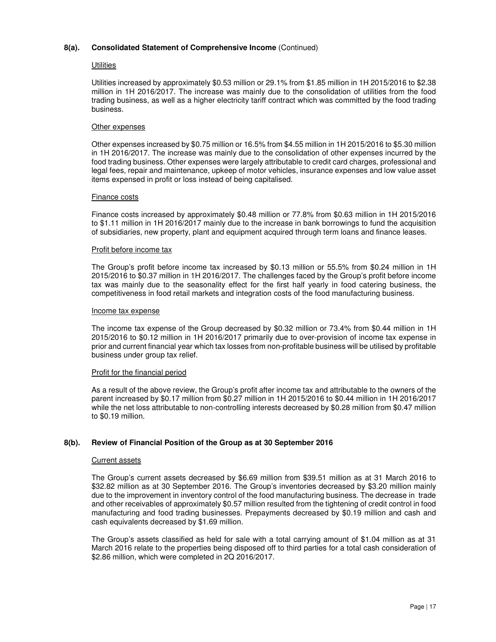#### **Utilities**

Utilities increased by approximately \$0.53 million or 29.1% from \$1.85 million in 1H 2015/2016 to \$2.38 million in 1H 2016/2017. The increase was mainly due to the consolidation of utilities from the food trading business, as well as a higher electricity tariff contract which was committed by the food trading business.

## Other expenses

Other expenses increased by \$0.75 million or 16.5% from \$4.55 million in 1H 2015/2016 to \$5.30 million in 1H 2016/2017. The increase was mainly due to the consolidation of other expenses incurred by the food trading business. Other expenses were largely attributable to credit card charges, professional and legal fees, repair and maintenance, upkeep of motor vehicles, insurance expenses and low value asset items expensed in profit or loss instead of being capitalised.

#### Finance costs

Finance costs increased by approximately \$0.48 million or 77.8% from \$0.63 million in 1H 2015/2016 to \$1.11 million in 1H 2016/2017 mainly due to the increase in bank borrowings to fund the acquisition of subsidiaries, new property, plant and equipment acquired through term loans and finance leases.

#### Profit before income tax

The Group's profit before income tax increased by \$0.13 million or 55.5% from \$0.24 million in 1H 2015/2016 to \$0.37 million in 1H 2016/2017. The challenges faced by the Group's profit before income tax was mainly due to the seasonality effect for the first half yearly in food catering business, the competitiveness in food retail markets and integration costs of the food manufacturing business.

#### Income tax expense

The income tax expense of the Group decreased by \$0.32 million or 73.4% from \$0.44 million in 1H 2015/2016 to \$0.12 million in 1H 2016/2017 primarily due to over-provision of income tax expense in prior and current financial year which tax losses from non-profitable business will be utilised by profitable business under group tax relief.

## Profit for the financial period

As a result of the above review, the Group's profit after income tax and attributable to the owners of the parent increased by \$0.17 million from \$0.27 million in 1H 2015/2016 to \$0.44 million in 1H 2016/2017 while the net loss attributable to non-controlling interests decreased by \$0.28 million from \$0.47 million to \$0.19 million.

## **8(b). Review of Financial Position of the Group as at 30 September 2016**

#### Current assets

The Group's current assets decreased by \$6.69 million from \$39.51 million as at 31 March 2016 to \$32.82 million as at 30 September 2016. The Group's inventories decreased by \$3.20 million mainly due to the improvement in inventory control of the food manufacturing business. The decrease in trade and other receivables of approximately \$0.57 million resulted from the tightening of credit control in food manufacturing and food trading businesses. Prepayments decreased by \$0.19 million and cash and cash equivalents decreased by \$1.69 million.

The Group's assets classified as held for sale with a total carrying amount of \$1.04 million as at 31 March 2016 relate to the properties being disposed off to third parties for a total cash consideration of \$2.86 million, which were completed in 2Q 2016/2017.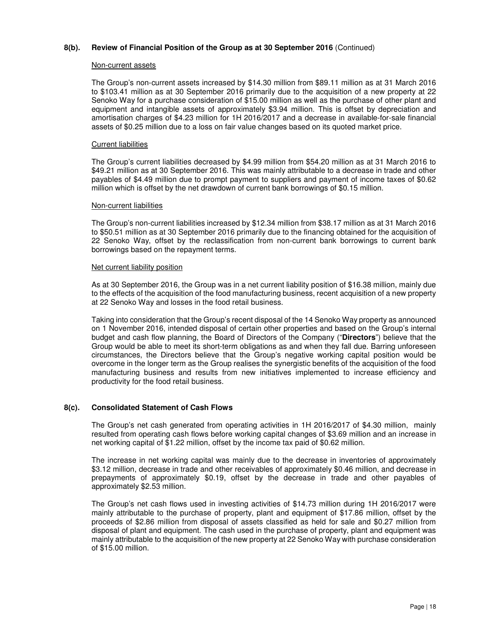## **8(b). Review of Financial Position of the Group as at 30 September 2016** (Continued)

#### Non-current assets

The Group's non-current assets increased by \$14.30 million from \$89.11 million as at 31 March 2016 to \$103.41 million as at 30 September 2016 primarily due to the acquisition of a new property at 22 Senoko Way for a purchase consideration of \$15.00 million as well as the purchase of other plant and equipment and intangible assets of approximately \$3.94 million. This is offset by depreciation and amortisation charges of \$4.23 million for 1H 2016/2017 and a decrease in available-for-sale financial assets of \$0.25 million due to a loss on fair value changes based on its quoted market price.

## Current liabilities

The Group's current liabilities decreased by \$4.99 million from \$54.20 million as at 31 March 2016 to \$49.21 million as at 30 September 2016. This was mainly attributable to a decrease in trade and other payables of \$4.49 million due to prompt payment to suppliers and payment of income taxes of \$0.62 million which is offset by the net drawdown of current bank borrowings of \$0.15 million.

#### Non-current liabilities

The Group's non-current liabilities increased by \$12.34 million from \$38.17 million as at 31 March 2016 to \$50.51 million as at 30 September 2016 primarily due to the financing obtained for the acquisition of 22 Senoko Way, offset by the reclassification from non-current bank borrowings to current bank borrowings based on the repayment terms.

#### Net current liability position

As at 30 September 2016, the Group was in a net current liability position of \$16.38 million, mainly due to the effects of the acquisition of the food manufacturing business, recent acquisition of a new property at 22 Senoko Way and losses in the food retail business.

Taking into consideration that the Group's recent disposal of the 14 Senoko Way property as announced on 1 November 2016, intended disposal of certain other properties and based on the Group's internal budget and cash flow planning, the Board of Directors of the Company ("**Directors**") believe that the Group would be able to meet its short-term obligations as and when they fall due. Barring unforeseen circumstances, the Directors believe that the Group's negative working capital position would be overcome in the longer term as the Group realises the synergistic benefits of the acquisition of the food manufacturing business and results from new initiatives implemented to increase efficiency and productivity for the food retail business.

## **8(c). Consolidated Statement of Cash Flows**

The Group's net cash generated from operating activities in 1H 2016/2017 of \$4.30 million, mainly resulted from operating cash flows before working capital changes of \$3.69 million and an increase in net working capital of \$1.22 million, offset by the income tax paid of \$0.62 million.

The increase in net working capital was mainly due to the decrease in inventories of approximately \$3.12 million, decrease in trade and other receivables of approximately \$0.46 million, and decrease in prepayments of approximately \$0.19, offset by the decrease in trade and other payables of approximately \$2.53 million.

The Group's net cash flows used in investing activities of \$14.73 million during 1H 2016/2017 were mainly attributable to the purchase of property, plant and equipment of \$17.86 million, offset by the proceeds of \$2.86 million from disposal of assets classified as held for sale and \$0.27 million from disposal of plant and equipment. The cash used in the purchase of property, plant and equipment was mainly attributable to the acquisition of the new property at 22 Senoko Way with purchase consideration of \$15.00 million.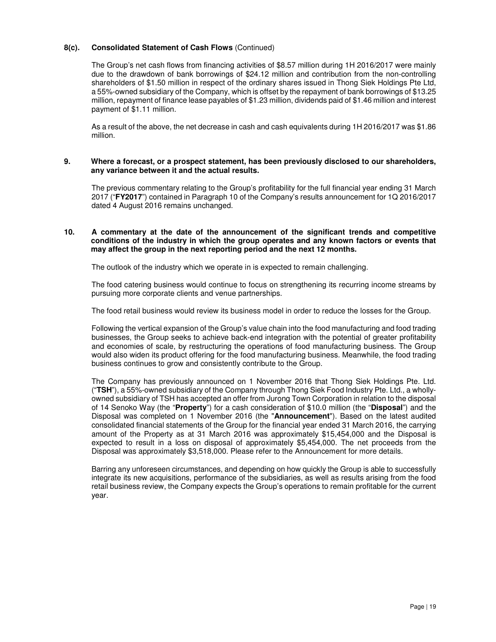## **8(c). Consolidated Statement of Cash Flows** (Continued)

The Group's net cash flows from financing activities of \$8.57 million during 1H 2016/2017 were mainly due to the drawdown of bank borrowings of \$24.12 million and contribution from the non-controlling shareholders of \$1.50 million in respect of the ordinary shares issued in Thong Siek Holdings Pte Ltd, a 55%-owned subsidiary of the Company, which is offset by the repayment of bank borrowings of \$13.25 million, repayment of finance lease payables of \$1.23 million, dividends paid of \$1.46 million and interest payment of \$1.11 million.

As a result of the above, the net decrease in cash and cash equivalents during 1H 2016/2017 was \$1.86 million.

#### **9. Where a forecast, or a prospect statement, has been previously disclosed to our shareholders, any variance between it and the actual results.**

The previous commentary relating to the Group's profitability for the full financial year ending 31 March 2017 ("**FY2017**") contained in Paragraph 10 of the Company's results announcement for 1Q 2016/2017 dated 4 August 2016 remains unchanged.

## **10. A commentary at the date of the announcement of the significant trends and competitive conditions of the industry in which the group operates and any known factors or events that may affect the group in the next reporting period and the next 12 months.**

The outlook of the industry which we operate in is expected to remain challenging.

The food catering business would continue to focus on strengthening its recurring income streams by pursuing more corporate clients and venue partnerships.

The food retail business would review its business model in order to reduce the losses for the Group.

Following the vertical expansion of the Group's value chain into the food manufacturing and food trading businesses, the Group seeks to achieve back-end integration with the potential of greater profitability and economies of scale, by restructuring the operations of food manufacturing business. The Group would also widen its product offering for the food manufacturing business. Meanwhile, the food trading business continues to grow and consistently contribute to the Group.

The Company has previously announced on 1 November 2016 that Thong Siek Holdings Pte. Ltd. ("**TSH**"), a 55%-owned subsidiary of the Company through Thong Siek Food Industry Pte. Ltd., a whollyowned subsidiary of TSH has accepted an offer from Jurong Town Corporation in relation to the disposal of 14 Senoko Way (the "**Property**") for a cash consideration of \$10.0 million (the "**Disposal**") and the Disposal was completed on 1 November 2016 (the "**Announcement**"). Based on the latest audited consolidated financial statements of the Group for the financial year ended 31 March 2016, the carrying amount of the Property as at 31 March 2016 was approximately \$15,454,000 and the Disposal is expected to result in a loss on disposal of approximately \$5,454,000. The net proceeds from the Disposal was approximately \$3,518,000. Please refer to the Announcement for more details.

Barring any unforeseen circumstances, and depending on how quickly the Group is able to successfully integrate its new acquisitions, performance of the subsidiaries, as well as results arising from the food retail business review, the Company expects the Group's operations to remain profitable for the current year.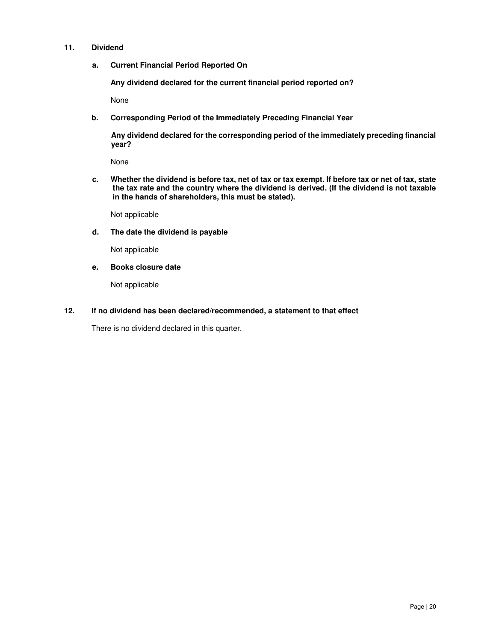## **11. Dividend**

**a. Current Financial Period Reported On** 

 **Any dividend declared for the current financial period reported on?** 

None

**b. Corresponding Period of the Immediately Preceding Financial Year** 

**Any dividend declared for the corresponding period of the immediately preceding financial year?** 

None

**c. Whether the dividend is before tax, net of tax or tax exempt. If before tax or net of tax, state the tax rate and the country where the dividend is derived. (If the dividend is not taxable in the hands of shareholders, this must be stated).**

Not applicable

**d. The date the dividend is payable** 

Not applicable

**e. Books closure date** 

Not applicable

## **12. If no dividend has been declared/recommended, a statement to that effect**

There is no dividend declared in this quarter.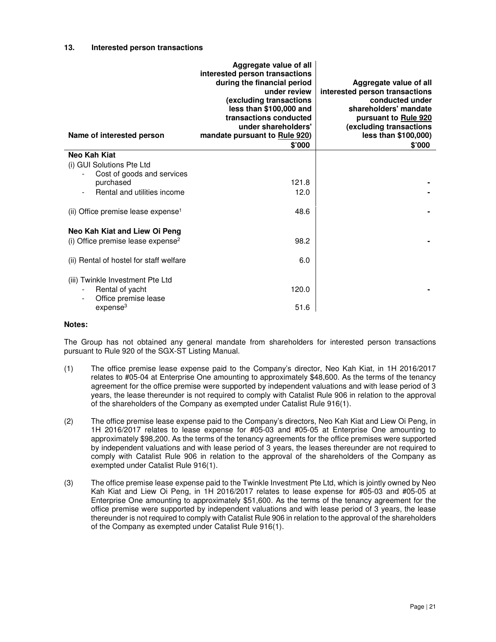#### **13. Interested person transactions**

| Name of interested person                                                                           | Aggregate value of all<br>interested person transactions<br>during the financial period<br>under review<br>(excluding transactions<br>less than \$100,000 and<br>transactions conducted<br>under shareholders'<br>mandate pursuant to Rule 920)<br>\$'000 | Aggregate value of all<br>interested person transactions<br>conducted under<br>shareholders' mandate<br>pursuant to Rule 920<br>(excluding transactions<br>less than \$100,000)<br>\$'000 |
|-----------------------------------------------------------------------------------------------------|-----------------------------------------------------------------------------------------------------------------------------------------------------------------------------------------------------------------------------------------------------------|-------------------------------------------------------------------------------------------------------------------------------------------------------------------------------------------|
| Neo Kah Kiat                                                                                        |                                                                                                                                                                                                                                                           |                                                                                                                                                                                           |
| (i) GUI Solutions Pte Ltd<br>Cost of goods and services<br>purchased<br>Rental and utilities income | 121.8<br>12.0                                                                                                                                                                                                                                             |                                                                                                                                                                                           |
| (ii) Office premise lease expense <sup>1</sup>                                                      | 48.6                                                                                                                                                                                                                                                      |                                                                                                                                                                                           |
| Neo Kah Kiat and Liew Oi Peng                                                                       |                                                                                                                                                                                                                                                           |                                                                                                                                                                                           |
| (i) Office premise lease expense <sup>2</sup>                                                       | 98.2                                                                                                                                                                                                                                                      |                                                                                                                                                                                           |
| (ii) Rental of hostel for staff welfare                                                             | 6.0                                                                                                                                                                                                                                                       |                                                                                                                                                                                           |
| (iii) Twinkle Investment Pte Ltd<br>Rental of yacht<br>Office premise lease                         | 120.0                                                                                                                                                                                                                                                     |                                                                                                                                                                                           |
| expense <sup>3</sup>                                                                                | 51.6                                                                                                                                                                                                                                                      |                                                                                                                                                                                           |

#### **Notes:**

The Group has not obtained any general mandate from shareholders for interested person transactions pursuant to Rule 920 of the SGX-ST Listing Manual.

- (1) The office premise lease expense paid to the Company's director, Neo Kah Kiat, in 1H 2016/2017 relates to #05-04 at Enterprise One amounting to approximately \$48,600. As the terms of the tenancy agreement for the office premise were supported by independent valuations and with lease period of 3 years, the lease thereunder is not required to comply with Catalist Rule 906 in relation to the approval of the shareholders of the Company as exempted under Catalist Rule 916(1).
- (2) The office premise lease expense paid to the Company's directors, Neo Kah Kiat and Liew Oi Peng, in 1H 2016/2017 relates to lease expense for #05-03 and #05-05 at Enterprise One amounting to approximately \$98,200. As the terms of the tenancy agreements for the office premises were supported by independent valuations and with lease period of 3 years, the leases thereunder are not required to comply with Catalist Rule 906 in relation to the approval of the shareholders of the Company as exempted under Catalist Rule 916(1).
- (3) The office premise lease expense paid to the Twinkle Investment Pte Ltd, which is jointly owned by Neo Kah Kiat and Liew Oi Peng, in 1H 2016/2017 relates to lease expense for #05-03 and #05-05 at Enterprise One amounting to approximately \$51,600. As the terms of the tenancy agreement for the office premise were supported by independent valuations and with lease period of 3 years, the lease thereunder is not required to comply with Catalist Rule 906 in relation to the approval of the shareholders of the Company as exempted under Catalist Rule 916(1).